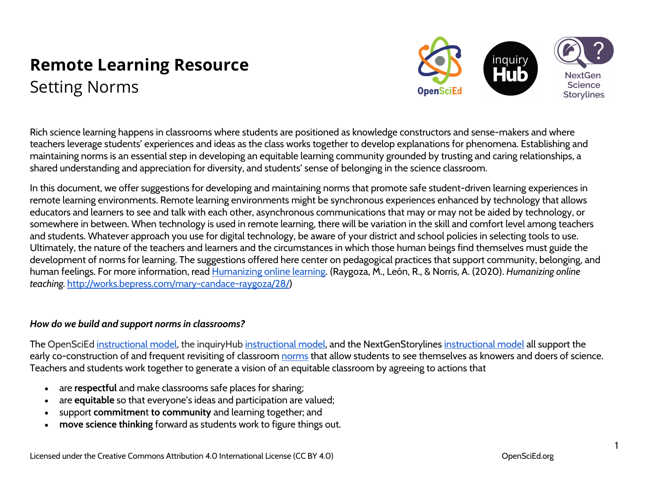# **Remote Learning Resource** Setting Norms



Rich science learning happens in classrooms where students are positioned as knowledge constructors and sense-makers and where teachers leverage students' experiences and ideas as the class works together to develop explanations for phenomena. Establishing and maintaining norms is an essential step in developing an equitable learning community grounded by trusting and caring relationships, a shared understanding and appreciation for diversity, and students' sense of belonging in the science classroom.

In this document, we offer suggestions for developing and maintaining norms that promote safe student-driven learning experiences in remote learning environments. Remote learning environments might be synchronous experiences enhanced by technology that allows educators and learners to see and talk with each other, asynchronous communications that may or may not be aided by technology, or somewhere in between. When technology is used in remote learning, there will be variation in the skill and comfort level among teachers and students. Whatever approach you use for digital technology, be aware of your district and school policies in selecting tools to use. Ultimately, the nature of the teachers and learners and the circumstances in which those human beings find themselves must guide the development of norms for learning. The suggestions offered here center on pedagogical practices that support community, belonging, and human feelings. For more information, read Humanizing online learning. (Raygoza, M., León, R., & Norris, A. (2020). *Humanizing online teaching.* http://works.bepress.com/mary-candace-raygoza/28/)

## *How do we build and support norms in classrooms?*

The OpenSciEd instructional model, the inquiryHub instructional model, and the NextGenStorylines instructional model all support the early co-construction of and frequent revisiting of classroom norms that allow students to see themselves as knowers and doers of science. Teachers and students work together to generate a vision of an equitable classroom by agreeing to actions that

- are **respectful** and make classrooms safe places for sharing;
- are **equitable** so that everyone's ideas and participation are valued;
- support **commitmen**t **to community** and learning together; and
- **move science thinking** forward as students work to figure things out.

1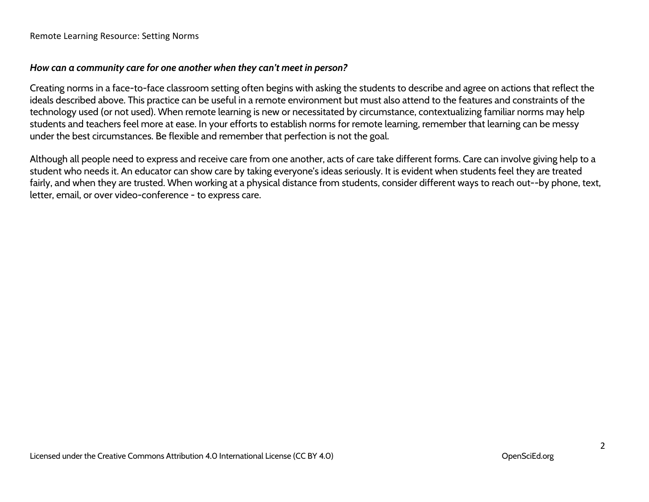Remote Learning Resource: Setting Norms

#### *How can a community care for one another when they can't meet in person?*

Creating norms in a face-to-face classroom setting often begins with asking the students to describe and agree on actions that reflect the ideals described above. This practice can be useful in a remote environment but must also attend to the features and constraints of the technology used (or not used). When remote learning is new or necessitated by circumstance, contextualizing familiar norms may help students and teachers feel more at ease. In your efforts to establish norms for remote learning, remember that learning can be messy under the best circumstances. Be flexible and remember that perfection is not the goal.

Although all people need to express and receive care from one another, acts of care take different forms. Care can involve giving help to a student who needs it. An educator can show care by taking everyone's ideas seriously. It is evident when students feel they are treated fairly, and when they are trusted. When working at a physical distance from students, consider different ways to reach out--by phone, text, letter, email, or over video-conference - to express care.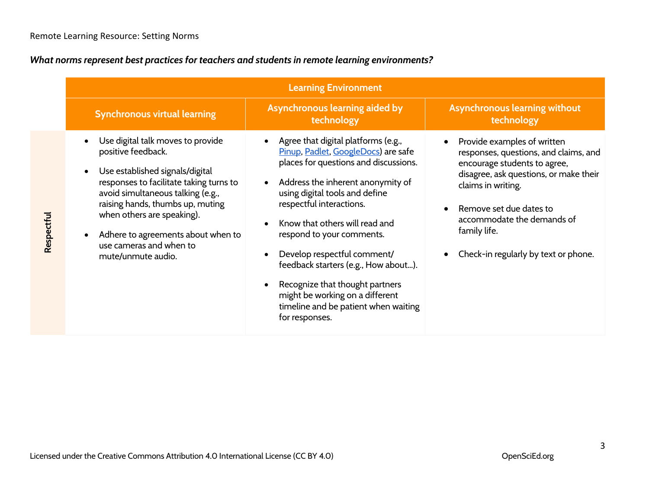## *What norms represent best practices for teachers and students in remote learning environments?*

|            | <b>Learning Environment</b>                                                                                                                                                                                                                                                                                                         |                                                                                                                                                                                                                                                                                                                                                                                                                                                                                              |                                                                                                                                                                                                                                                                                       |  |  |  |
|------------|-------------------------------------------------------------------------------------------------------------------------------------------------------------------------------------------------------------------------------------------------------------------------------------------------------------------------------------|----------------------------------------------------------------------------------------------------------------------------------------------------------------------------------------------------------------------------------------------------------------------------------------------------------------------------------------------------------------------------------------------------------------------------------------------------------------------------------------------|---------------------------------------------------------------------------------------------------------------------------------------------------------------------------------------------------------------------------------------------------------------------------------------|--|--|--|
|            | <b>Synchronous virtual learning</b>                                                                                                                                                                                                                                                                                                 | Asynchronous learning aided by<br>technology                                                                                                                                                                                                                                                                                                                                                                                                                                                 | Asynchronous learning without<br>technology                                                                                                                                                                                                                                           |  |  |  |
| Respectful | Use digital talk moves to provide<br>positive feedback.<br>Use established signals/digital<br>responses to facilitate taking turns to<br>avoid simultaneous talking (e.g.,<br>raising hands, thumbs up, muting<br>when others are speaking).<br>Adhere to agreements about when to<br>use cameras and when to<br>mute/unmute audio. | Agree that digital platforms (e.g.,<br>Pinup, Padlet, GoogleDocs) are safe<br>places for questions and discussions.<br>Address the inherent anonymity of<br>using digital tools and define<br>respectful interactions.<br>Know that others will read and<br>respond to your comments.<br>Develop respectful comment/<br>feedback starters (e.g., How about).<br>Recognize that thought partners<br>might be working on a different<br>timeline and be patient when waiting<br>for responses. | Provide examples of written<br>responses, questions, and claims, and<br>encourage students to agree,<br>disagree, ask questions, or make their<br>claims in writing.<br>Remove set due dates to<br>accommodate the demands of<br>family life.<br>Check-in regularly by text or phone. |  |  |  |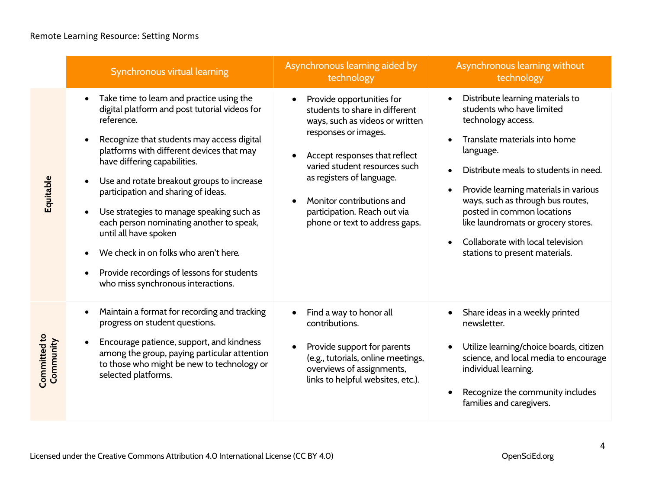**Committed to** 

**Committed to** 

|                                | Synchronous virtual learning                                                                                                                                                                                                                                                                                                                                                                                                                                                                                                                                            | Asynchronous learning aided by<br>technology                                                                                                                                                                                                                                                                         | Asynchronous learning without<br>technology                                                                                                                                                                                                                                                                                                                                                          |
|--------------------------------|-------------------------------------------------------------------------------------------------------------------------------------------------------------------------------------------------------------------------------------------------------------------------------------------------------------------------------------------------------------------------------------------------------------------------------------------------------------------------------------------------------------------------------------------------------------------------|----------------------------------------------------------------------------------------------------------------------------------------------------------------------------------------------------------------------------------------------------------------------------------------------------------------------|------------------------------------------------------------------------------------------------------------------------------------------------------------------------------------------------------------------------------------------------------------------------------------------------------------------------------------------------------------------------------------------------------|
| Equitable                      | Take time to learn and practice using the<br>digital platform and post tutorial videos for<br>reference.<br>Recognize that students may access digital<br>platforms with different devices that may<br>have differing capabilities.<br>Use and rotate breakout groups to increase<br>participation and sharing of ideas.<br>Use strategies to manage speaking such as<br>each person nominating another to speak,<br>until all have spoken<br>We check in on folks who aren't here.<br>Provide recordings of lessons for students<br>who miss synchronous interactions. | Provide opportunities for<br>students to share in different<br>ways, such as videos or written<br>responses or images.<br>Accept responses that reflect<br>varied student resources such<br>as registers of language.<br>Monitor contributions and<br>participation. Reach out via<br>phone or text to address gaps. | Distribute learning materials to<br>students who have limited<br>technology access.<br>Translate materials into home<br>language.<br>Distribute meals to students in need.<br>Provide learning materials in various<br>ways, such as through bus routes,<br>posted in common locations<br>like laundromats or grocery stores.<br>Collaborate with local television<br>stations to present materials. |
| <b>Comunitied</b><br>Community | Maintain a format for recording and tracking<br>progress on student questions.<br>Encourage patience, support, and kindness<br>among the group, paying particular attention<br>to those who might be new to technology or<br>selected platforms.                                                                                                                                                                                                                                                                                                                        | Find a way to honor all<br>contributions.<br>Provide support for parents<br>(e.g., tutorials, online meetings,<br>overviews of assignments,<br>links to helpful websites, etc.).                                                                                                                                     | Share ideas in a weekly printed<br>newsletter.<br>Utilize learning/choice boards, citizen<br>science, and local media to encourage<br>individual learning.<br>Recognize the community includes<br>families and caregivers.                                                                                                                                                                           |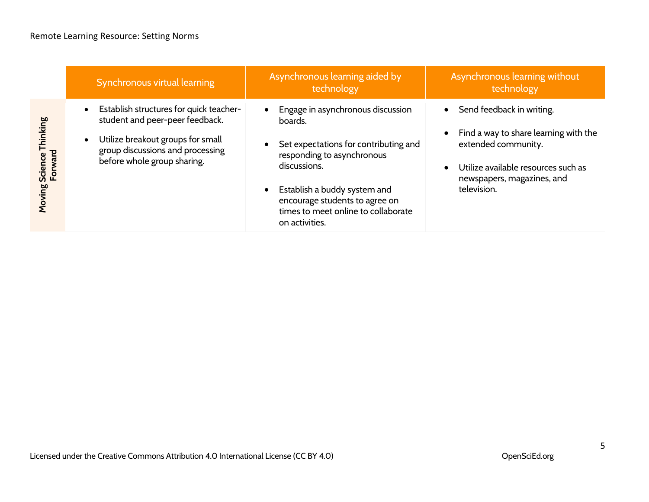|                                       | Synchronous virtual learning                                                                                                                                                                    | Asynchronous learning aided by<br>technology                                                                                                                                                                                                                                | Asynchronous learning without<br>technology                                                                                                                                   |
|---------------------------------------|-------------------------------------------------------------------------------------------------------------------------------------------------------------------------------------------------|-----------------------------------------------------------------------------------------------------------------------------------------------------------------------------------------------------------------------------------------------------------------------------|-------------------------------------------------------------------------------------------------------------------------------------------------------------------------------|
| Science Thinking<br>Forward<br>Moving | Establish structures for quick teacher-<br>$\bullet$<br>student and peer-peer feedback.<br>Utilize breakout groups for small<br>group discussions and processing<br>before whole group sharing. | Engage in asynchronous discussion<br>boards.<br>Set expectations for contributing and<br>responding to asynchronous<br>discussions.<br>Establish a buddy system and<br>$\bullet$<br>encourage students to agree on<br>times to meet online to collaborate<br>on activities. | Send feedback in writing.<br>Find a way to share learning with the<br>extended community.<br>Utilize available resources such as<br>newspapers, magazines, and<br>television. |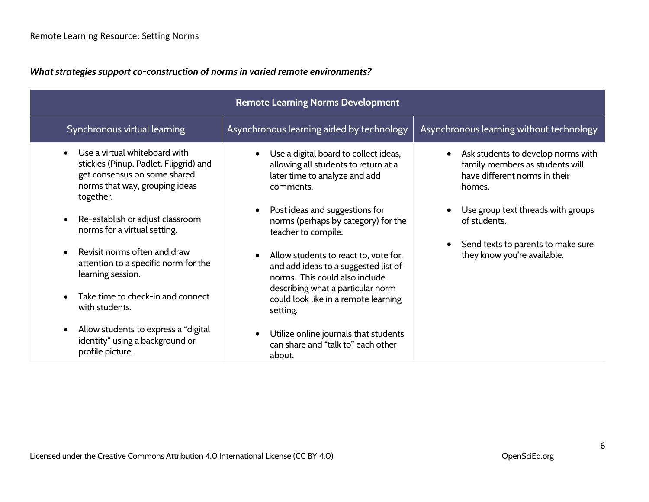*What strategies support co-construction of norms in varied remote environments?*

| <b>Remote Learning Norms Development</b>                                                                                                               |                                                                                                                                                                                                          |                                                                                                                               |  |  |
|--------------------------------------------------------------------------------------------------------------------------------------------------------|----------------------------------------------------------------------------------------------------------------------------------------------------------------------------------------------------------|-------------------------------------------------------------------------------------------------------------------------------|--|--|
| Synchronous virtual learning                                                                                                                           | Asynchronous learning aided by technology                                                                                                                                                                | Asynchronous learning without technology                                                                                      |  |  |
| Use a virtual whiteboard with<br>stickies (Pinup, Padlet, Flipgrid) and<br>get consensus on some shared<br>norms that way, grouping ideas<br>together. | Use a digital board to collect ideas,<br>allowing all students to return at a<br>later time to analyze and add<br>comments.                                                                              | Ask students to develop norms with<br>$\bullet$<br>family members as students will<br>have different norms in their<br>homes. |  |  |
| Re-establish or adjust classroom<br>norms for a virtual setting.                                                                                       | Post ideas and suggestions for<br>norms (perhaps by category) for the<br>teacher to compile.                                                                                                             | Use group text threads with groups<br>of students.                                                                            |  |  |
| Revisit norms often and draw<br>attention to a specific norm for the<br>learning session.<br>Take time to check-in and connect<br>with students.       | Allow students to react to, vote for,<br>and add ideas to a suggested list of<br>norms. This could also include<br>describing what a particular norm<br>could look like in a remote learning<br>setting. | Send texts to parents to make sure<br>they know you're available.                                                             |  |  |
| Allow students to express a "digital<br>identity" using a background or<br>profile picture.                                                            | Utilize online journals that students<br>can share and "talk to" each other<br>about.                                                                                                                    |                                                                                                                               |  |  |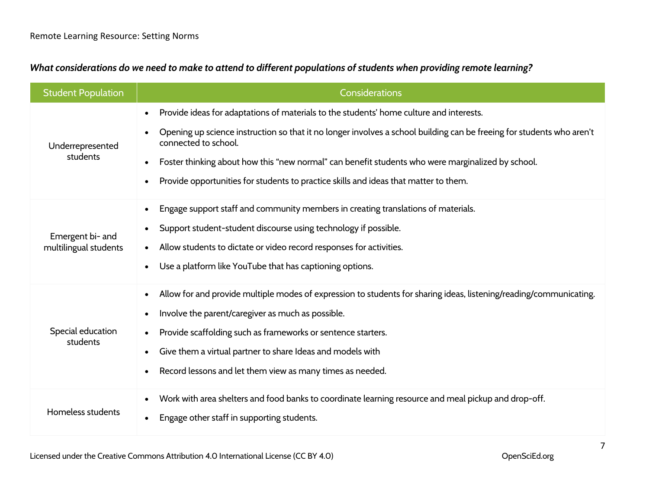| What considerations do we need to make to attend to different populations of students when providing remote learning? |  |  |  |  |
|-----------------------------------------------------------------------------------------------------------------------|--|--|--|--|
|                                                                                                                       |  |  |  |  |

| <b>Student Population</b>                 | <b>Considerations</b>                                                                                                                                                                                                                                                                                                                                                                                                                              |
|-------------------------------------------|----------------------------------------------------------------------------------------------------------------------------------------------------------------------------------------------------------------------------------------------------------------------------------------------------------------------------------------------------------------------------------------------------------------------------------------------------|
| Underrepresented<br>students              | Provide ideas for adaptations of materials to the students' home culture and interests.<br>Opening up science instruction so that it no longer involves a school building can be freeing for students who aren't<br>connected to school.<br>Foster thinking about how this "new normal" can benefit students who were marginalized by school.<br>$\bullet$<br>Provide opportunities for students to practice skills and ideas that matter to them. |
| Emergent bi- and<br>multilingual students | Engage support staff and community members in creating translations of materials.<br>$\bullet$<br>Support student-student discourse using technology if possible.<br>$\bullet$<br>Allow students to dictate or video record responses for activities.<br>$\bullet$<br>Use a platform like YouTube that has captioning options.                                                                                                                     |
| Special education<br>students             | Allow for and provide multiple modes of expression to students for sharing ideas, listening/reading/communicating.<br>$\bullet$<br>Involve the parent/caregiver as much as possible.<br>Provide scaffolding such as frameworks or sentence starters.<br>Give them a virtual partner to share Ideas and models with<br>Record lessons and let them view as many times as needed.                                                                    |
| Homeless students                         | Work with area shelters and food banks to coordinate learning resource and meal pickup and drop-off.<br>Engage other staff in supporting students.                                                                                                                                                                                                                                                                                                 |

Licensed under the Creative Commons Attribution 4.0 International License (CC BY 4.0) OpenSciEd.org